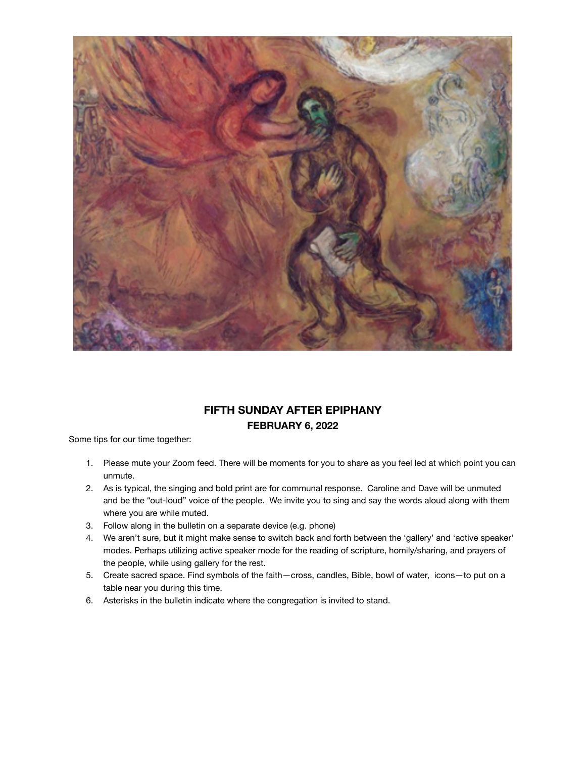

## **FIFTH SUNDAY AFTER EPIPHANY FEBRUARY 6, 2022**

Some tips for our time together:

- 1. Please mute your Zoom feed. There will be moments for you to share as you feel led at which point you can unmute.
- 2. As is typical, the singing and bold print are for communal response. Caroline and Dave will be unmuted and be the "out-loud" voice of the people. We invite you to sing and say the words aloud along with them where you are while muted.
- 3. Follow along in the bulletin on a separate device (e.g. phone)
- 4. We aren't sure, but it might make sense to switch back and forth between the 'gallery' and 'active speaker' modes. Perhaps utilizing active speaker mode for the reading of scripture, homily/sharing, and prayers of the people, while using gallery for the rest.
- 5. Create sacred space. Find symbols of the faith—cross, candles, Bible, bowl of water, icons—to put on a table near you during this time.
- 6. Asterisks in the bulletin indicate where the congregation is invited to stand.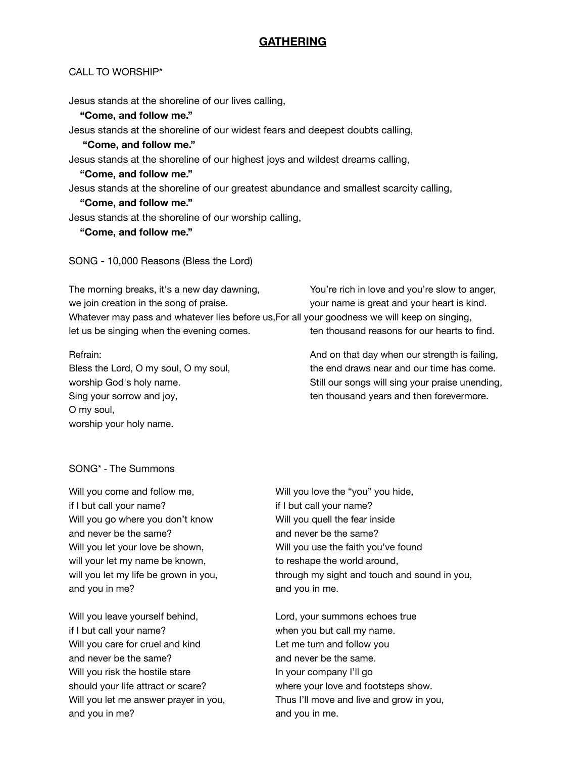# **GATHERING**

### CALL TO WORSHIP\*

Jesus stands at the shoreline of our lives calling,

### **"Come, and follow me."**

Jesus stands at the shoreline of our widest fears and deepest doubts calling,

#### **"Come, and follow me."**

Jesus stands at the shoreline of our highest joys and wildest dreams calling,

#### **"Come, and follow me."**

Jesus stands at the shoreline of our greatest abundance and smallest scarcity calling,

#### **"Come, and follow me."**

Jesus stands at the shoreline of our worship calling,

**"Come, and follow me."**

#### SONG - 10,000 Reasons (Bless the Lord)

The morning breaks, it's a new day dawning, You're rich in love and you're slow to anger, we join creation in the song of praise. your name is great and your heart is kind. Whatever may pass and whatever lies before us,For all your goodness we will keep on singing, let us be singing when the evening comes. the thousand reasons for our hearts to find.

O my soul, worship your holy name.

Refrain: **And on that day when our strength is failing,** and on that day when our strength is failing,

Bless the Lord, O my soul, O my soul, the end draws near and our time has come. worship God's holy name.  $\Box$  Still our songs will sing your praise unending, Sing your sorrow and joy, the same state of thousand years and then forevermore.

#### SONG\* - The Summons

Will you come and follow me, will you love the "you" you hide, if I but call your name? if I but call your name? Will you go where you don't know Will you quell the fear inside and never be the same? and never be the same? Will you let your love be shown, Will you use the faith you've found will your let my name be known, the stape the world around, and you in me? and you in me.

Will you leave yourself behind, example of the Lord, your summons echoes true if I but call your name? when you but call my name. Will you care for cruel and kind Let me turn and follow you and never be the same? The same is a same and never be the same. Will you risk the hostile stare In your company I'll go and you in me? and you in me.

will you let my life be grown in you, through my sight and touch and sound in you,

should your life attract or scare? where your love and footsteps show. Will you let me answer prayer in you, Thus I'll move and live and grow in you,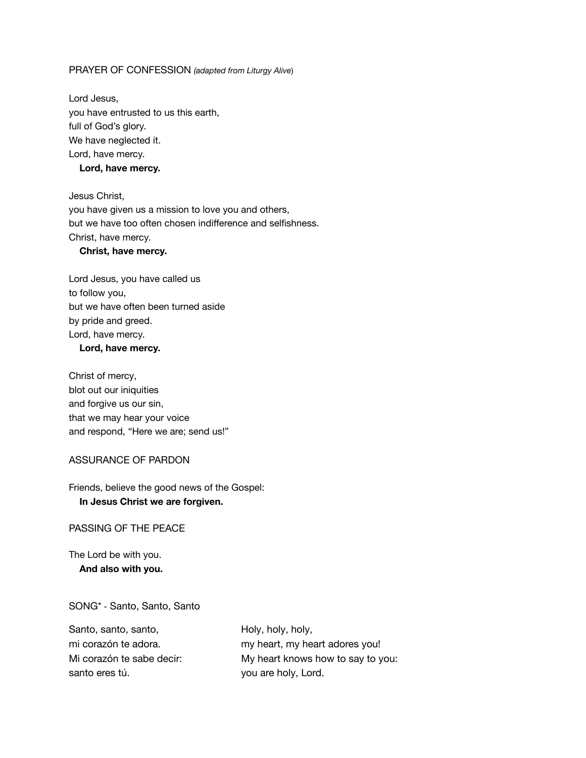#### PRAYER OF CONFESSION *(adapted from Liturgy Alive*)

Lord Jesus, you have entrusted to us this earth, full of God's glory. We have neglected it. Lord, have mercy.

## **Lord, have mercy.**

Jesus Christ, you have given us a mission to love you and others, but we have too often chosen indifference and selfishness. Christ, have mercy.

#### **Christ, have mercy.**

Lord Jesus, you have called us to follow you, but we have often been turned aside by pride and greed. Lord, have mercy.

## **Lord, have mercy.**

Christ of mercy, blot out our iniquities and forgive us our sin, that we may hear your voice and respond, "Here we are; send us!"

#### ASSURANCE OF PARDON

Friends, believe the good news of the Gospel: **In Jesus Christ we are forgiven.**

#### PASSING OF THE PEACE

The Lord be with you. **And also with you.**

### SONG\* - Santo, Santo, Santo

| Santo, santo, santo,      | Holy, holy, holy,                 |
|---------------------------|-----------------------------------|
| mi corazón te adora.      | my heart, my heart adores you!    |
| Mi corazón te sabe decir: | My heart knows how to say to you: |
| santo eres tú.            | you are holy, Lord.               |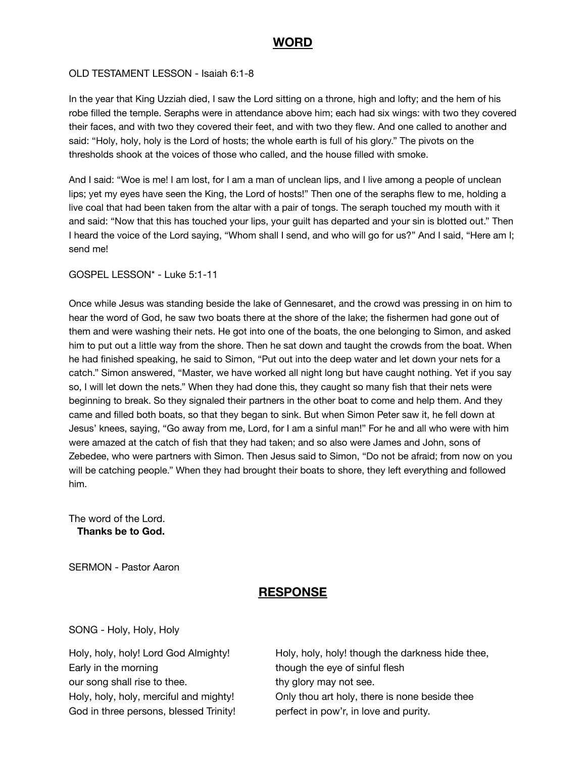## **WORD**

### OLD TESTAMENT LESSON - Isaiah 6:1-8

In the year that King Uzziah died, I saw the Lord sitting on a throne, high and lofty; and the hem of his robe filled the temple. Seraphs were in attendance above him; each had six wings: with two they covered their faces, and with two they covered their feet, and with two they flew. And one called to another and said: "Holy, holy, holy is the Lord of hosts; the whole earth is full of his glory." The pivots on the thresholds shook at the voices of those who called, and the house filled with smoke.

And I said: "Woe is me! I am lost, for I am a man of unclean lips, and I live among a people of unclean lips; yet my eyes have seen the King, the Lord of hosts!" Then one of the seraphs flew to me, holding a live coal that had been taken from the altar with a pair of tongs. The seraph touched my mouth with it and said: "Now that this has touched your lips, your guilt has departed and your sin is blotted out." Then I heard the voice of the Lord saying, "Whom shall I send, and who will go for us?" And I said, "Here am I; send me!

#### GOSPEL LESSON\* - Luke 5:1-11

Once while Jesus was standing beside the lake of Gennesaret, and the crowd was pressing in on him to hear the word of God, he saw two boats there at the shore of the lake; the fishermen had gone out of them and were washing their nets. He got into one of the boats, the one belonging to Simon, and asked him to put out a little way from the shore. Then he sat down and taught the crowds from the boat. When he had finished speaking, he said to Simon, "Put out into the deep water and let down your nets for a catch." Simon answered, "Master, we have worked all night long but have caught nothing. Yet if you say so, I will let down the nets." When they had done this, they caught so many fish that their nets were beginning to break. So they signaled their partners in the other boat to come and help them. And they came and filled both boats, so that they began to sink. But when Simon Peter saw it, he fell down at Jesus' knees, saying, "Go away from me, Lord, for I am a sinful man!" For he and all who were with him were amazed at the catch of fish that they had taken; and so also were James and John, sons of Zebedee, who were partners with Simon. Then Jesus said to Simon, "Do not be afraid; from now on you will be catching people." When they had brought their boats to shore, they left everything and followed him.

The word of the Lord. **Thanks be to God.**

SERMON - Pastor Aaron

## **RESPONSE**

SONG - Holy, Holy, Holy

Early in the morning though the eye of sinful flesh our song shall rise to thee. the state our song shall rise to thee. God in three persons, blessed Trinity! perfect in pow'r, in love and purity.

Holy, holy, holy! Lord God Almighty! Holy, holy, holy! though the darkness hide thee, Holy, holy, holy, merciful and mighty! Only thou art holy, there is none beside thee